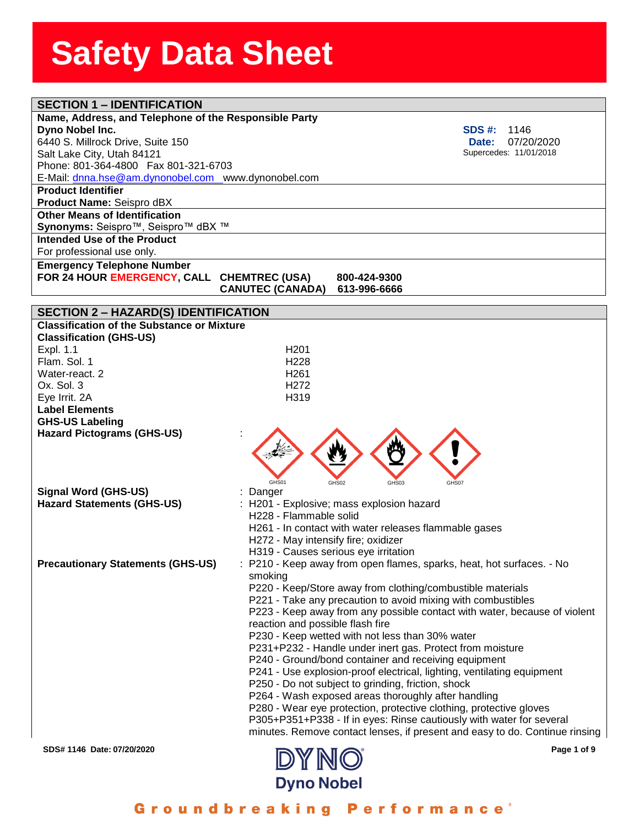| <b>SECTION 1 - IDENTIFICATION</b>                                      |                                                                             |
|------------------------------------------------------------------------|-----------------------------------------------------------------------------|
| Name, Address, and Telephone of the Responsible Party                  |                                                                             |
| Dyno Nobel Inc.                                                        | <b>SDS #:</b><br>1146                                                       |
| 6440 S. Millrock Drive, Suite 150                                      | 07/20/2020<br><b>Date:</b>                                                  |
| Salt Lake City, Utah 84121                                             | Supercedes: 11/01/2018                                                      |
| Phone: 801-364-4800  Fax 801-321-6703                                  |                                                                             |
| E-Mail: dnna.hse@am.dynonobel.com www.dynonobel.com                    |                                                                             |
| <b>Product Identifier</b>                                              |                                                                             |
| Product Name: Seispro dBX                                              |                                                                             |
| <b>Other Means of Identification</b>                                   |                                                                             |
| Synonyms: Seispro <sup>™</sup> , Seispro <sup>™</sup> dBX <sup>™</sup> |                                                                             |
| Intended Use of the Product                                            |                                                                             |
|                                                                        |                                                                             |
| For professional use only.                                             |                                                                             |
| <b>Emergency Telephone Number</b>                                      |                                                                             |
| FOR 24 HOUR EMERGENCY, CALL CHEMTREC (USA)                             | 800-424-9300                                                                |
|                                                                        | <b>CANUTEC (CANADA)</b><br>613-996-6666                                     |
|                                                                        |                                                                             |
| <b>SECTION 2 - HAZARD(S) IDENTIFICATION</b>                            |                                                                             |
| <b>Classification of the Substance or Mixture</b>                      |                                                                             |
| <b>Classification (GHS-US)</b>                                         |                                                                             |
| Expl. 1.1                                                              | H <sub>201</sub>                                                            |
| Flam. Sol. 1                                                           | H <sub>228</sub>                                                            |
| Water-react. 2                                                         | H <sub>261</sub>                                                            |
| Ox. Sol. 3                                                             | H <sub>272</sub>                                                            |
| Eye Irrit. 2A                                                          | H319                                                                        |
| <b>Label Elements</b>                                                  |                                                                             |
| <b>GHS-US Labeling</b>                                                 |                                                                             |
| <b>Hazard Pictograms (GHS-US)</b>                                      |                                                                             |
|                                                                        |                                                                             |
|                                                                        |                                                                             |
|                                                                        |                                                                             |
|                                                                        | GHS01<br>GHS02<br>GHS03<br>GHS07                                            |
| <b>Signal Word (GHS-US)</b>                                            | : Danger                                                                    |
| <b>Hazard Statements (GHS-US)</b>                                      | : H201 - Explosive; mass explosion hazard                                   |
|                                                                        | H228 - Flammable solid                                                      |
|                                                                        | H261 - In contact with water releases flammable gases                       |
|                                                                        | H272 - May intensify fire; oxidizer                                         |
|                                                                        | H319 - Causes serious eye irritation                                        |
| <b>Precautionary Statements (GHS-US)</b>                               | : P210 - Keep away from open flames, sparks, heat, hot surfaces. - No       |
|                                                                        | smoking                                                                     |
|                                                                        | P220 - Keep/Store away from clothing/combustible materials                  |
|                                                                        | P221 - Take any precaution to avoid mixing with combustibles                |
|                                                                        | P223 - Keep away from any possible contact with water, because of violent   |
|                                                                        | reaction and possible flash fire                                            |
|                                                                        | P230 - Keep wetted with not less than 30% water                             |
|                                                                        | P231+P232 - Handle under inert gas. Protect from moisture                   |
|                                                                        | P240 - Ground/bond container and receiving equipment                        |
|                                                                        | P241 - Use explosion-proof electrical, lighting, ventilating equipment      |
|                                                                        | P250 - Do not subject to grinding, friction, shock                          |
|                                                                        | P264 - Wash exposed areas thoroughly after handling                         |
|                                                                        | P280 - Wear eye protection, protective clothing, protective gloves          |
|                                                                        | P305+P351+P338 - If in eyes: Rinse cautiously with water for several        |
|                                                                        | minutes. Remove contact lenses, if present and easy to do. Continue rinsing |
|                                                                        |                                                                             |
| SDS# 1146 Date: 07/20/2020                                             | Page 1 of 9                                                                 |
|                                                                        | DYNO                                                                        |

Groundbreaking Performance<sup>®</sup>

**Dyno Nobel**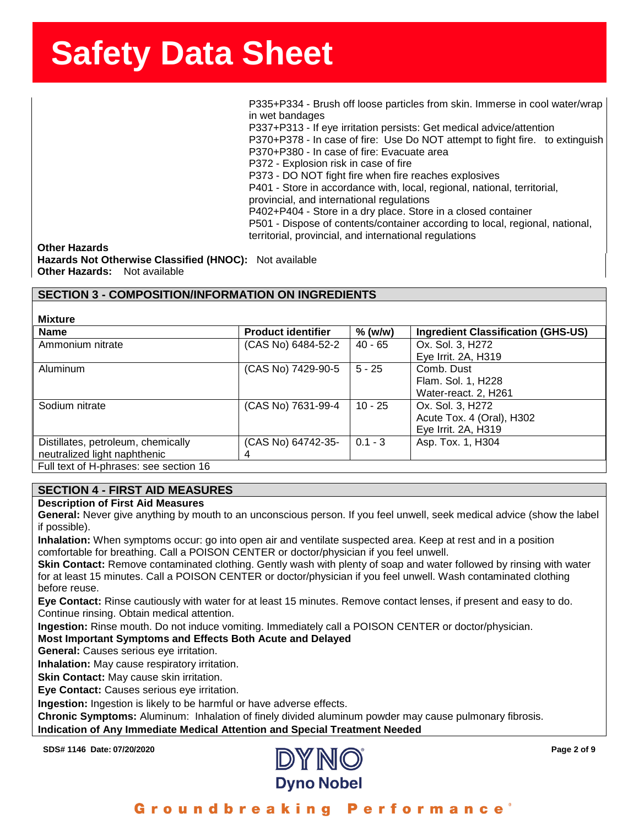ssense and the state of the state of the SSS-P334 - Brush off loose particles from skin. Immerse in cool water/wrap<br>P335+P334 - Brush off loose particles from skin. Immerse in cool water/wrap in wet bandages

P337+P313 - If eye irritation persists: Get medical advice/attention

P370+P378 - In case of fire: Use Do NOT attempt to fight fire. to extinguish P370+P380 - In case of fire: Evacuate area

P372 - Explosion risk in case of fire P373 - DO NOT fight fire when fire reaches explosives

P401 - Store in accordance with, local, regional, national, territorial,

provincial, and international regulations

P402+P404 - Store in a dry place. Store in a closed container

P501 - Dispose of contents/container according to local, regional, national, territorial, provincial, and international regulations

**Other Hazards Hazards Not Otherwise Classified (HNOC):** Not available **Other Hazards:** Not available

### **SECTION 3 - COMPOSITION/INFORMATION ON INGREDIENTS**

**Mixture Name Product identifier % (w/w) Ingredient Classification (GHS-US)** Ammonium nitrate (CAS No) 6484-52-2 40 - 65 Ox. Sol. 3, H272 Eye Irrit. 2A, H319 Aluminum (CAS No) 7429-90-5 5 - 25 Comb. Dust Flam. Sol. 1, H228 Water-react. 2, H261 Sodium nitrate (CAS No) 7631-99-4 | 10 - 25 | Ox. Sol. 3, H272 Acute Tox. 4 (Oral), H302 Eye Irrit. 2A, H319 Distillates, petroleum, chemically neutralized light naphthenic (CAS No) 64742-35- 4 0.1 - 3 | Asp. Tox. 1, H304 Full text of H-phrases: see section 16

### **SECTION 4 - FIRST AID MEASURES**

#### **Description of First Aid Measures**

**General:** Never give anything by mouth to an unconscious person. If you feel unwell, seek medical advice (show the label if possible).

**Inhalation:** When symptoms occur: go into open air and ventilate suspected area. Keep at rest and in a position comfortable for breathing. Call a POISON CENTER or doctor/physician if you feel unwell.

**Skin Contact:** Remove contaminated clothing. Gently wash with plenty of soap and water followed by rinsing with water for at least 15 minutes. Call a POISON CENTER or doctor/physician if you feel unwell. Wash contaminated clothing before reuse.

**Eye Contact:** Rinse cautiously with water for at least 15 minutes. Remove contact lenses, if present and easy to do. Continue rinsing. Obtain medical attention.

**Ingestion:** Rinse mouth. Do not induce vomiting. Immediately call a POISON CENTER or doctor/physician.

**Most Important Symptoms and Effects Both Acute and Delayed**

**General:** Causes serious eye irritation.

**Inhalation:** May cause respiratory irritation.

**Skin Contact:** May cause skin irritation.

**Eye Contact:** Causes serious eye irritation.

**Ingestion:** Ingestion is likely to be harmful or have adverse effects.

**Chronic Symptoms:** Aluminum: Inhalation of finely divided aluminum powder may cause pulmonary fibrosis.

**Indication of Any Immediate Medical Attention and Special Treatment Needed**

**SDS# 1146 Date: 07/20/2020 Page 2 of 9 Page 2** of 9

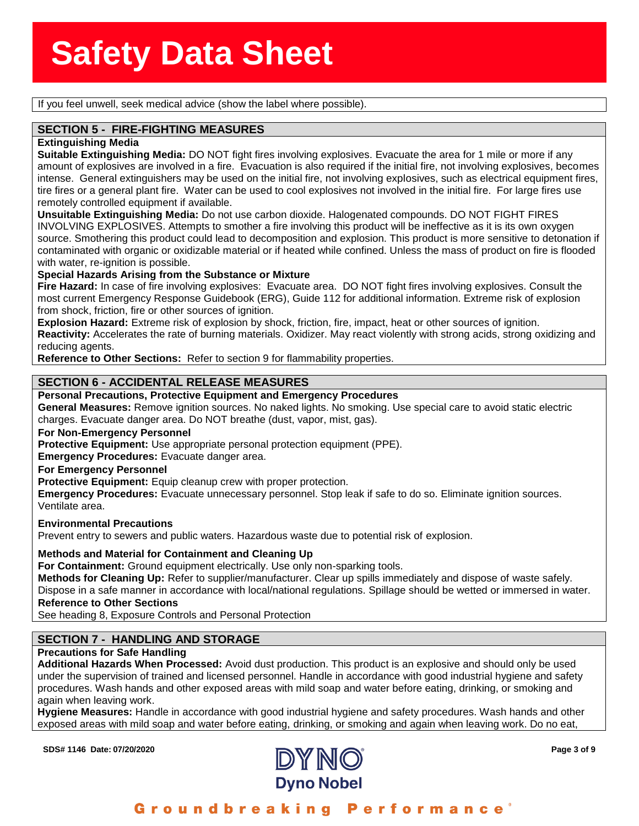**Sole is so the unit of the seem**<br>If you feel unwell, seek medical advice (show the label where possible).

# **ECTION 5 - FIRE-FIGHTI**<br>tinguishing Media **SECTION 5 - FIRE-FIGHTING MEASURES**

#### **Extinguishing Media**

**Suitable Extinguishing Media:** DO NOT fight fires involving explosives. Evacuate the area for 1 mile or more if any amount of explosives are involved in a fire. Evacuation is also required if the initial fire, not involving explosives, becomes intense. General extinguishers may be used on the initial fire, not involving explosives, such as electrical equipment fires, tire fires or a general plant fire. Water can be used to cool explosives not involved in the initial fire. For large fires use remotely controlled equipment if available.

**Unsuitable Extinguishing Media:** Do not use carbon dioxide. Halogenated compounds. DO NOT FIGHT FIRES INVOLVING EXPLOSIVES. Attempts to smother a fire involving this product will be ineffective as it is its own oxygen source. Smothering this product could lead to decomposition and explosion. This product is more sensitive to detonation if contaminated with organic or oxidizable material or if heated while confined. Unless the mass of product on fire is flooded with water, re-ignition is possible.

#### **Special Hazards Arising from the Substance or Mixture**

**Fire Hazard:** In case of fire involving explosives: Evacuate area. DO NOT fight fires involving explosives. Consult the most current Emergency Response Guidebook (ERG), Guide 112 for additional information. Extreme risk of explosion from shock, friction, fire or other sources of ignition.

**Explosion Hazard:** Extreme risk of explosion by shock, friction, fire, impact, heat or other sources of ignition.

**Reactivity:** Accelerates the rate of burning materials. Oxidizer. May react violently with strong acids, strong oxidizing and reducing agents.

**Reference to Other Sections:** Refer to section 9 for flammability properties.

### **SECTION 6 - ACCIDENTAL RELEASE MEASURES**

#### **Personal Precautions, Protective Equipment and Emergency Procedures**

**General Measures:** Remove ignition sources. No naked lights. No smoking. Use special care to avoid static electric charges. Evacuate danger area. Do NOT breathe (dust, vapor, mist, gas).

#### **For Non-Emergency Personnel**

**Protective Equipment:** Use appropriate personal protection equipment (PPE).

**Emergency Procedures:** Evacuate danger area.

#### **For Emergency Personnel**

**Protective Equipment:** Equip cleanup crew with proper protection.

**Emergency Procedures:** Evacuate unnecessary personnel. Stop leak if safe to do so. Eliminate ignition sources. Ventilate area.

#### **Environmental Precautions**

Prevent entry to sewers and public waters. Hazardous waste due to potential risk of explosion.

#### **Methods and Material for Containment and Cleaning Up**

**For Containment:** Ground equipment electrically. Use only non-sparking tools.

**Methods for Cleaning Up:** Refer to supplier/manufacturer. Clear up spills immediately and dispose of waste safely.

Dispose in a safe manner in accordance with local/national regulations. Spillage should be wetted or immersed in water. **Reference to Other Sections**

See heading 8, Exposure Controls and Personal Protection

### **SECTION 7 - HANDLING AND STORAGE**

#### **Precautions for Safe Handling**

**Additional Hazards When Processed:** Avoid dust production. This product is an explosive and should only be used under the supervision of trained and licensed personnel. Handle in accordance with good industrial hygiene and safety procedures. Wash hands and other exposed areas with mild soap and water before eating, drinking, or smoking and again when leaving work.

**Hygiene Measures:** Handle in accordance with good industrial hygiene and safety procedures. Wash hands and other exposed areas with mild soap and water before eating, drinking, or smoking and again when leaving work. Do no eat,

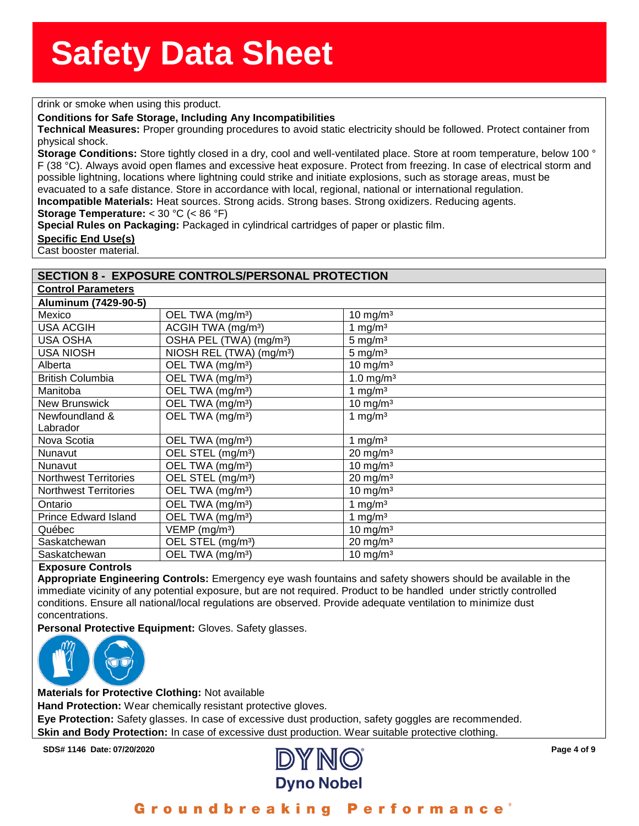**standard in the standard of the standard of the standard of the standard of the standard of the standard of th**<br>The standard of the standard of the standard of the standard of the standard of the standard of the standard

#### **Conditions for Safe Storage, Including Any Incompatibilities**

**nditions for Safe Storage,**<br>**chnical Measures:** Proper <sub>(</sub><br>ysical shock. **Technical Measures:** Proper grounding procedures to avoid static electricity should be followed. Protect container from physical shock.

**Storage Conditions:** Store tightly closed in a dry, cool and well-ventilated place. Store at room temperature, below 100 ° F (38 °C). Always avoid open flames and excessive heat exposure. Protect from freezing. In case of electrical storm and possible lightning, locations where lightning could strike and initiate explosions, such as storage areas, must be evacuated to a safe distance. Store in accordance with local, regional, national or international regulation. **Incompatible Materials:** Heat sources. Strong acids. Strong bases. Strong oxidizers. Reducing agents.

**Storage Temperature:** < 30 °C (< 86 °F)

**Special Rules on Packaging:** Packaged in cylindrical cartridges of paper or plastic film.

**Specific End Use(s)**

Cast booster material.

#### **SECTION 8 - EXPOSURE CONTROLS/PERSONAL PROTECTION**

| <b>Control Parameters</b>    |                                      |                         |
|------------------------------|--------------------------------------|-------------------------|
| Aluminum (7429-90-5)         |                                      |                         |
| Mexico                       | OEL TWA (mg/m <sup>3</sup> )         | 10 mg/m $3$             |
| <b>USA ACGIH</b>             | ACGIH TWA (mg/m <sup>3</sup> )       | 1 mg/m $3$              |
| <b>USA OSHA</b>              | OSHA PEL (TWA) (mg/m <sup>3</sup> )  | $5 \text{ mg/m}^3$      |
| <b>USA NIOSH</b>             | NIOSH REL (TWA) (mg/m <sup>3</sup> ) | $5 \text{ mg/m}^3$      |
| Alberta                      | OEL TWA (mg/m <sup>3</sup> )         | 10 mg/m $3$             |
| <b>British Columbia</b>      | OEL TWA (mg/m <sup>3</sup> )         | $1.0$ mg/m <sup>3</sup> |
| Manitoba                     | OEL TWA (mg/m <sup>3</sup> )         | 1 mg/m $3$              |
| New Brunswick                | OEL TWA (mg/m <sup>3</sup> )         | 10 mg/m $3$             |
| Newfoundland &               | OEL TWA (mg/m <sup>3</sup> )         | 1 mg/m $3$              |
| Labrador                     |                                      |                         |
| Nova Scotia                  | OEL TWA (mg/m <sup>3</sup> )         | 1 mg/m $3$              |
| Nunavut                      | OEL STEL (mg/m <sup>3</sup> )        | $20 \text{ mg/m}^3$     |
| Nunavut                      | OEL TWA (mg/m <sup>3</sup> )         | 10 mg/m $3$             |
| <b>Northwest Territories</b> | OEL STEL (mg/m <sup>3</sup> )        | $20 \text{ mg/m}^3$     |
| <b>Northwest Territories</b> | OEL TWA (mg/m <sup>3</sup> )         | 10 mg/m $3$             |
| Ontario                      | OEL TWA (mg/m <sup>3</sup> )         | 1 mg/m $3$              |
| <b>Prince Edward Island</b>  | OEL TWA (mg/m <sup>3</sup> )         | 1 mg/m $3$              |
| Québec                       | $VEMP$ (mg/m <sup>3</sup> )          | 10 mg/m $3$             |
| Saskatchewan                 | OEL STEL (mg/m <sup>3</sup> )        | $20 \text{ mg/m}^3$     |
| Saskatchewan                 | OEL TWA (mg/m <sup>3</sup> )         | 10 mg/m $3$             |
| Evanouse Controla            |                                      |                         |

#### **Exposure Controls**

**Appropriate Engineering Controls:** Emergency eye wash fountains and safety showers should be available in the immediate vicinity of any potential exposure, but are not required. Product to be handled under strictly controlled conditions. Ensure all national/local regulations are observed. Provide adequate ventilation to minimize dust concentrations.

**Personal Protective Equipment:** Gloves. Safety glasses.



**Materials for Protective Clothing:** Not available

**Hand Protection:** Wear chemically resistant protective gloves.

**Eye Protection:** Safety glasses. In case of excessive dust production, safety goggles are recommended.

**Skin and Body Protection:** In case of excessive dust production. Wear suitable protective clothing.

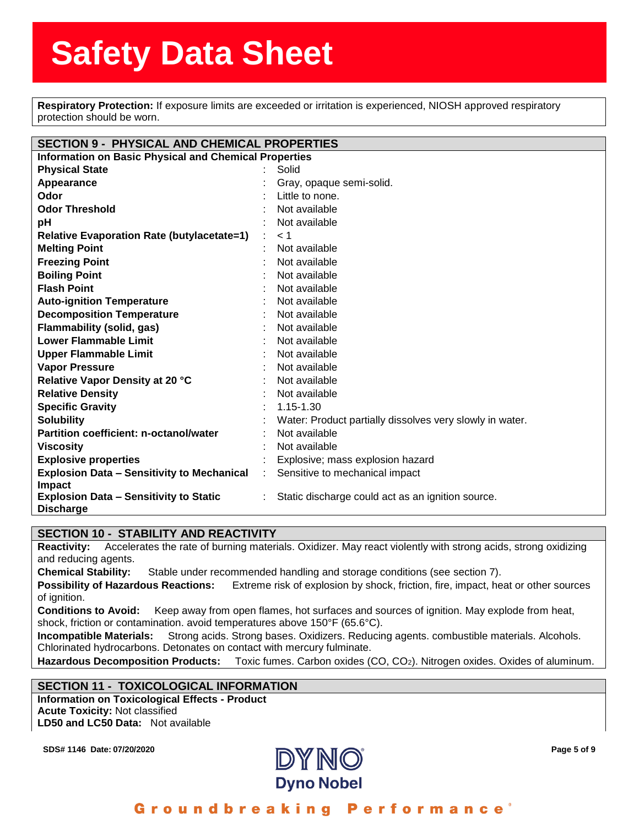**Respiratory Protection:** If exposure limits are exceeded or irritation is experienced, NIOSH approved respiratory<br>**Respiratory Protection:** If exposure limits are exceeded or irritation is experienced, NIOSH approved resp protection should be worn.

| protection should be worn.                                   |  |                                                          |  |  |
|--------------------------------------------------------------|--|----------------------------------------------------------|--|--|
|                                                              |  |                                                          |  |  |
| <b>SECTION 9 - PHYSICAL AND CHEMICAL PROPERTIES</b>          |  |                                                          |  |  |
| <b>Information on Basic Physical and Chemical Properties</b> |  |                                                          |  |  |
| <b>Physical State</b>                                        |  | Solid                                                    |  |  |
| Appearance                                                   |  | Gray, opaque semi-solid.                                 |  |  |
| Odor                                                         |  | Little to none.                                          |  |  |
| <b>Odor Threshold</b>                                        |  | Not available                                            |  |  |
| pH                                                           |  | Not available                                            |  |  |
| <b>Relative Evaporation Rate (butylacetate=1)</b>            |  | < 1                                                      |  |  |
| <b>Melting Point</b>                                         |  | Not available                                            |  |  |
| <b>Freezing Point</b>                                        |  | Not available                                            |  |  |
| <b>Boiling Point</b>                                         |  | Not available                                            |  |  |
| <b>Flash Point</b>                                           |  | Not available                                            |  |  |
| <b>Auto-ignition Temperature</b>                             |  | Not available                                            |  |  |
| <b>Decomposition Temperature</b>                             |  | Not available                                            |  |  |
| Flammability (solid, gas)                                    |  | Not available                                            |  |  |
| <b>Lower Flammable Limit</b>                                 |  | Not available                                            |  |  |
| <b>Upper Flammable Limit</b>                                 |  | Not available                                            |  |  |
| <b>Vapor Pressure</b>                                        |  | Not available                                            |  |  |
| Relative Vapor Density at 20 °C                              |  | Not available                                            |  |  |
| <b>Relative Density</b>                                      |  | Not available                                            |  |  |
| <b>Specific Gravity</b>                                      |  | 1.15-1.30                                                |  |  |
| <b>Solubility</b>                                            |  | Water: Product partially dissolves very slowly in water. |  |  |
| Partition coefficient: n-octanol/water                       |  | Not available                                            |  |  |
| <b>Viscosity</b>                                             |  | Not available                                            |  |  |
| <b>Explosive properties</b>                                  |  | Explosive; mass explosion hazard                         |  |  |
| <b>Explosion Data - Sensitivity to Mechanical</b>            |  | Sensitive to mechanical impact                           |  |  |
| <b>Impact</b>                                                |  |                                                          |  |  |
| <b>Explosion Data - Sensitivity to Static</b>                |  | Static discharge could act as an ignition source.        |  |  |
| <b>Discharge</b>                                             |  |                                                          |  |  |

#### **SECTION 10 - STABILITY AND REACTIVITY**

**Reactivity:** Accelerates the rate of burning materials. Oxidizer. May react violently with strong acids, strong oxidizing and reducing agents.

**Chemical Stability:** Stable under recommended handling and storage conditions (see section 7).

**Possibility of Hazardous Reactions:** Extreme risk of explosion by shock, friction, fire, impact, heat or other sources of ignition.

**Conditions to Avoid:** Keep away from open flames, hot surfaces and sources of ignition. May explode from heat, shock, friction or contamination. avoid temperatures above 150°F (65.6°C).

**Incompatible Materials:** Strong acids. Strong bases. Oxidizers. Reducing agents. combustible materials. Alcohols. Chlorinated hydrocarbons. Detonates on contact with mercury fulminate.

**Hazardous Decomposition Products:** Toxic fumes. Carbon oxides (CO, CO2). Nitrogen oxides. Oxides of aluminum.

#### **SECTION 11 - TOXICOLOGICAL INFORMATION**

**Information on Toxicological Effects - Product Acute Toxicity:** Not classified **LD50 and LC50 Data:** Not available



#### Groundbreaking **Performance**<sup>®</sup>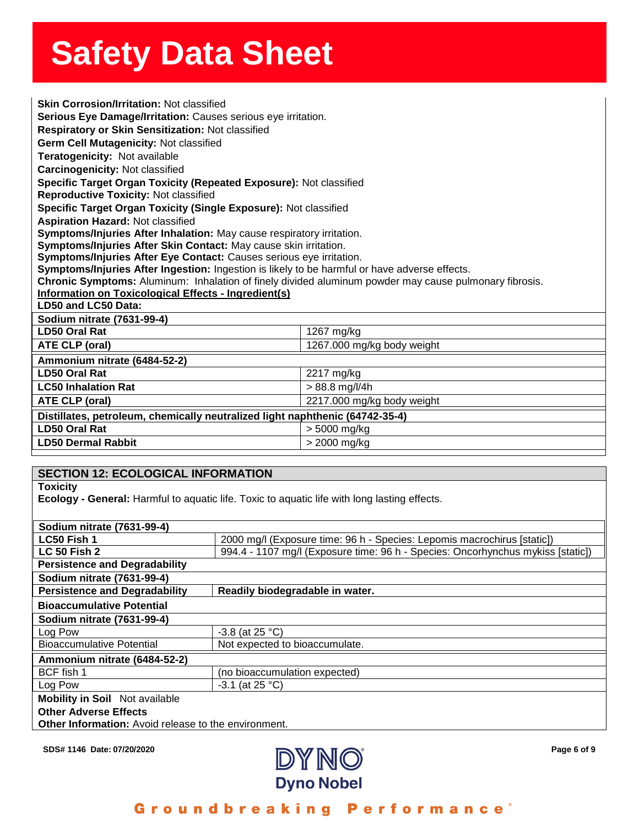| <b>Skin Corrosion/Irritation: Not classified</b>                                                                                                               |                            |  |
|----------------------------------------------------------------------------------------------------------------------------------------------------------------|----------------------------|--|
| Serious Eye Damage/Irritation: Causes serious eye irritation.                                                                                                  |                            |  |
| Respiratory or Skin Sensitization: Not classified                                                                                                              |                            |  |
| Germ Cell Mutagenicity: Not classified                                                                                                                         |                            |  |
| Teratogenicity: Not available                                                                                                                                  |                            |  |
| Carcinogenicity: Not classified                                                                                                                                |                            |  |
| Specific Target Organ Toxicity (Repeated Exposure): Not classified                                                                                             |                            |  |
| <b>Reproductive Toxicity: Not classified</b>                                                                                                                   |                            |  |
| Specific Target Organ Toxicity (Single Exposure): Not classified                                                                                               |                            |  |
| <b>Aspiration Hazard: Not classified</b>                                                                                                                       |                            |  |
| Symptoms/Injuries After Inhalation: May cause respiratory irritation.                                                                                          |                            |  |
| Symptoms/Injuries After Skin Contact: May cause skin irritation.                                                                                               |                            |  |
| Symptoms/Injuries After Eye Contact: Causes serious eye irritation.                                                                                            |                            |  |
| Symptoms/Injuries After Ingestion: Ingestion is likely to be harmful or have adverse effects.                                                                  |                            |  |
| Chronic Symptoms: Aluminum: Inhalation of finely divided aluminum powder may cause pulmonary fibrosis.<br>Information on Toxicological Effects - Ingredient(s) |                            |  |
| LD50 and LC50 Data:                                                                                                                                            |                            |  |
| Sodium nitrate (7631-99-4)                                                                                                                                     |                            |  |
| <b>LD50 Oral Rat</b>                                                                                                                                           | 1267 mg/kg                 |  |
| ATE CLP (oral)                                                                                                                                                 | 1267.000 mg/kg body weight |  |
| Ammonium nitrate (6484-52-2)                                                                                                                                   |                            |  |
| <b>LD50 Oral Rat</b>                                                                                                                                           | 2217 mg/kg                 |  |
| <b>LC50 Inhalation Rat</b>                                                                                                                                     | $> 88.8$ mg/l/4h           |  |
| ATE CLP (oral)                                                                                                                                                 | 2217.000 mg/kg body weight |  |
| Distillates, petroleum, chemically neutralized light naphthenic (64742-35-4)                                                                                   |                            |  |
| <b>LD50 Oral Rat</b>                                                                                                                                           | > 5000 mg/kg               |  |
| <b>LD50 Dermal Rabbit</b>                                                                                                                                      | > 2000 mg/kg               |  |

| <b>SECTION 12: ECOLOGICAL INFORMATION</b>            |                                                                                                     |  |
|------------------------------------------------------|-----------------------------------------------------------------------------------------------------|--|
| <b>Toxicity</b>                                      |                                                                                                     |  |
|                                                      | <b>Ecology - General:</b> Harmful to aquatic life. Toxic to aquatic life with long lasting effects. |  |
|                                                      |                                                                                                     |  |
| Sodium nitrate (7631-99-4)                           |                                                                                                     |  |
| LC50 Fish 1                                          | 2000 mg/l (Exposure time: 96 h - Species: Lepomis macrochirus [static])                             |  |
| <b>LC 50 Fish 2</b>                                  | 994.4 - 1107 mg/l (Exposure time: 96 h - Species: Oncorhynchus mykiss [static])                     |  |
| <b>Persistence and Degradability</b>                 |                                                                                                     |  |
| Sodium nitrate (7631-99-4)                           |                                                                                                     |  |
| <b>Persistence and Degradability</b>                 | Readily biodegradable in water.                                                                     |  |
| <b>Bioaccumulative Potential</b>                     |                                                                                                     |  |
| Sodium nitrate (7631-99-4)                           |                                                                                                     |  |
| Log Pow                                              | $-3.8$ (at 25 °C)                                                                                   |  |
| <b>Bioaccumulative Potential</b>                     | Not expected to bioaccumulate.                                                                      |  |
| Ammonium nitrate (6484-52-2)                         |                                                                                                     |  |
| BCF fish 1                                           | (no bioaccumulation expected)                                                                       |  |
| Log Pow                                              | $-3.1$ (at 25 °C)                                                                                   |  |
| <b>Mobility in Soil</b> Not available                |                                                                                                     |  |
| <b>Other Adverse Effects</b>                         |                                                                                                     |  |
| Other Information: Avoid release to the environment. |                                                                                                     |  |

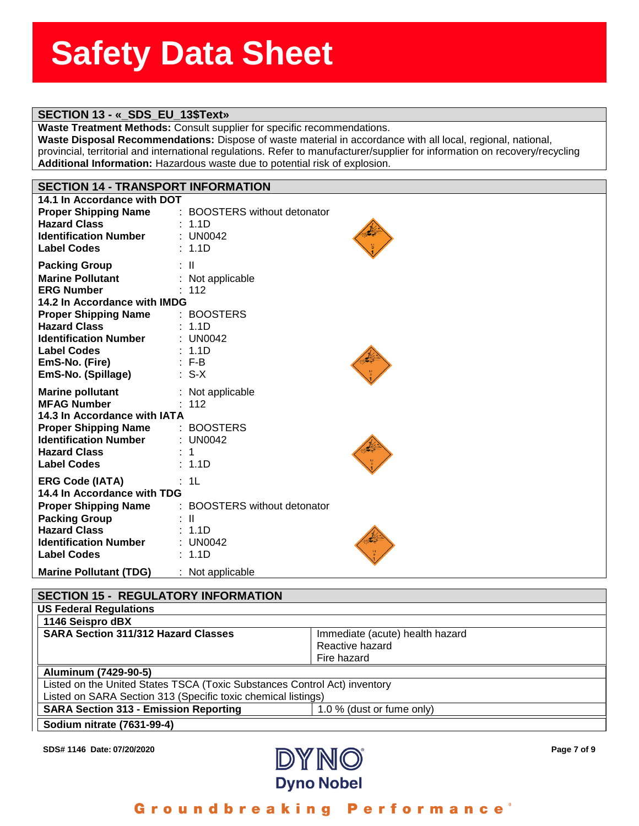# ass<del>ssssSSSS</del><br>Stern Stern Stern Stern Stern Stern Stern Stern Stern Stern Stern Stern Stern Stern Stern Stern Stern Stern St

**Waste Treatment Methods:** Consult supplier for specific recommendations.

**eeSheet SECTION 13 - «\_SDS\_EU\_13\$Text» Waste Disposal Recommendations:** Dispose of waste material in accordance with all local, regional, national, provincial, territorial and international regulations. Refer to manufacturer/supplier for information on recovery/recycling **Additional Information:** Hazardous waste due to potential risk of explosion.

## **SECTION 14 - TRANSPORT INFORMATION**

| 14.1 In Accordance with DOT   |                              |
|-------------------------------|------------------------------|
| <b>Proper Shipping Name</b>   | : BOOSTERS without detonator |
| <b>Hazard Class</b>           | : 1.1D                       |
| <b>Identification Number</b>  | : UN0042                     |
| <b>Label Codes</b>            | : 1.1D                       |
|                               |                              |
| <b>Packing Group</b>          | : II                         |
| <b>Marine Pollutant</b>       | : Not applicable.            |
| <b>ERG Number</b>             | : 112                        |
| 14.2 In Accordance with IMDG  |                              |
| <b>Proper Shipping Name</b>   | : BOOSTERS                   |
| <b>Hazard Class</b>           | : 1.1D                       |
| <b>Identification Number</b>  | : UN0042                     |
| <b>Label Codes</b>            | : 1.1D                       |
| EmS-No. (Fire)                | $:$ F-B                      |
| EmS-No. (Spillage)            | $: S-X$                      |
| <b>Marine pollutant</b>       | : Not applicable.            |
| <b>MFAG Number</b>            | : 112                        |
| 14.3 In Accordance with IATA  |                              |
| <b>Proper Shipping Name</b>   | : BOOSTERS                   |
| <b>Identification Number</b>  | : $UN0042$                   |
| <b>Hazard Class</b>           | 1                            |
| <b>Label Codes</b>            | : 1.1D                       |
|                               |                              |
| <b>ERG Code (IATA)</b>        | : 1L                         |
| 14.4 In Accordance with TDG   |                              |
| <b>Proper Shipping Name</b>   | : BOOSTERS without detonator |
| <b>Packing Group</b>          | : II                         |
| <b>Hazard Class</b>           | : 1.1D                       |
| <b>Identification Number</b>  | : UN0042                     |
| <b>Label Codes</b>            | : 1.1D                       |
| <b>Marine Pollutant (TDG)</b> | : Not applicable.            |

#### **SECTION 15 - REGULATORY INFORMATION US Federal Regulations 1146 Seispro dBX SARA Section 311/312 Hazard Classes** Immediate (acute) health hazard Reactive hazard Fire hazard **Aluminum (7429-90-5)** Listed on the United States TSCA (Toxic Substances Control Act) inventory Listed on SARA Section 313 (Specific toxic chemical listings) **SARA Section 313 - Emission Reporting 1.0 % (dust or fume only) Sodium nitrate (7631-99-4)**

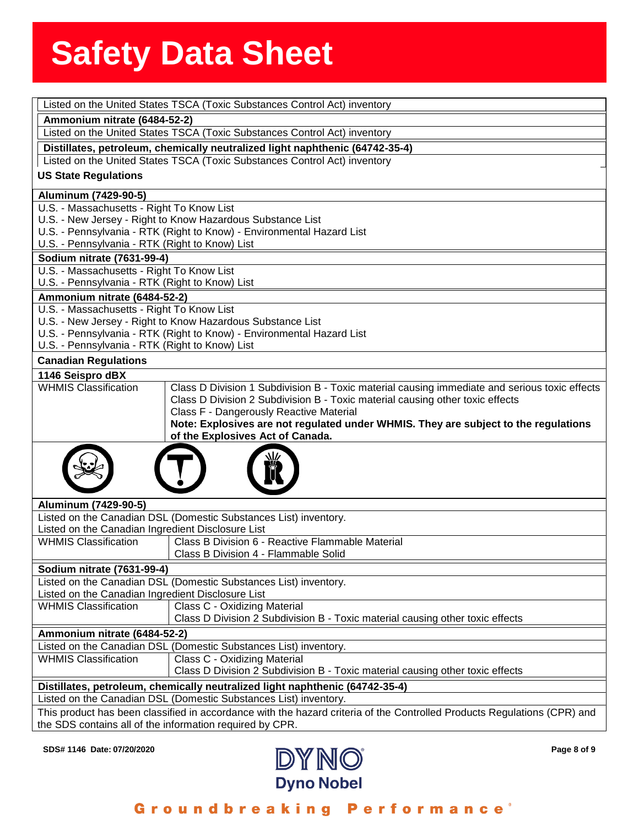|                                                   | Listed on the United States TSCA (Toxic Substances Control Act) inventory                                                                                                            |
|---------------------------------------------------|--------------------------------------------------------------------------------------------------------------------------------------------------------------------------------------|
| Ammonium nitrate (6484-52-2)                      |                                                                                                                                                                                      |
|                                                   | Listed on the United States TSCA (Toxic Substances Control Act) inventory                                                                                                            |
|                                                   | Distillates, petroleum, chemically neutralized light naphthenic (64742-35-4)                                                                                                         |
|                                                   | Listed on the United States TSCA (Toxic Substances Control Act) inventory                                                                                                            |
| <b>US State Regulations</b>                       |                                                                                                                                                                                      |
| Aluminum (7429-90-5)                              |                                                                                                                                                                                      |
| U.S. - Massachusetts - Right To Know List         |                                                                                                                                                                                      |
|                                                   | U.S. - New Jersey - Right to Know Hazardous Substance List                                                                                                                           |
| U.S. - Pennsylvania - RTK (Right to Know) List    | U.S. - Pennsylvania - RTK (Right to Know) - Environmental Hazard List                                                                                                                |
| <b>Sodium nitrate (7631-99-4)</b>                 |                                                                                                                                                                                      |
| U.S. - Massachusetts - Right To Know List         |                                                                                                                                                                                      |
| U.S. - Pennsylvania - RTK (Right to Know) List    |                                                                                                                                                                                      |
| Ammonium nitrate (6484-52-2)                      |                                                                                                                                                                                      |
| U.S. - Massachusetts - Right To Know List         |                                                                                                                                                                                      |
|                                                   | U.S. - New Jersey - Right to Know Hazardous Substance List                                                                                                                           |
|                                                   | U.S. - Pennsylvania - RTK (Right to Know) - Environmental Hazard List                                                                                                                |
| U.S. - Pennsylvania - RTK (Right to Know) List    |                                                                                                                                                                                      |
| <b>Canadian Regulations</b>                       |                                                                                                                                                                                      |
| 1146 Seispro dBX                                  |                                                                                                                                                                                      |
| <b>WHMIS Classification</b>                       | Class D Division 1 Subdivision B - Toxic material causing immediate and serious toxic effects                                                                                        |
|                                                   | Class D Division 2 Subdivision B - Toxic material causing other toxic effects                                                                                                        |
|                                                   | Class F - Dangerously Reactive Material                                                                                                                                              |
|                                                   | Note: Explosives are not regulated under WHMIS. They are subject to the regulations<br>of the Explosives Act of Canada.                                                              |
|                                                   |                                                                                                                                                                                      |
| Aluminum (7429-90-5)                              |                                                                                                                                                                                      |
|                                                   | Listed on the Canadian DSL (Domestic Substances List) inventory.                                                                                                                     |
| Listed on the Canadian Ingredient Disclosure List |                                                                                                                                                                                      |
| <b>WHMIS Classification</b>                       | Class B Division 6 - Reactive Flammable Material<br>Class B Division 4 - Flammable Solid                                                                                             |
| Sodium nitrate (7631-99-4)                        |                                                                                                                                                                                      |
|                                                   | Listed on the Canadian DSL (Domestic Substances List) inventory.                                                                                                                     |
| Listed on the Canadian Ingredient Disclosure List |                                                                                                                                                                                      |
| <b>WHMIS Classification</b>                       | Class C - Oxidizing Material                                                                                                                                                         |
|                                                   | Class D Division 2 Subdivision B - Toxic material causing other toxic effects                                                                                                        |
| Ammonium nitrate (6484-52-2)                      |                                                                                                                                                                                      |
|                                                   | Listed on the Canadian DSL (Domestic Substances List) inventory.                                                                                                                     |
| <b>WHMIS Classification</b>                       | Class C - Oxidizing Material                                                                                                                                                         |
|                                                   | Class D Division 2 Subdivision B - Toxic material causing other toxic effects                                                                                                        |
|                                                   | Distillates, petroleum, chemically neutralized light naphthenic (64742-35-4)                                                                                                         |
|                                                   | Listed on the Canadian DSL (Domestic Substances List) inventory.                                                                                                                     |
|                                                   | This product has been classified in accordance with the hazard criteria of the Controlled Products Regulations (CPR) and<br>the SDS contains all of the information required by CPR. |
|                                                   |                                                                                                                                                                                      |



Groundbreaking Performance<sup>®</sup>